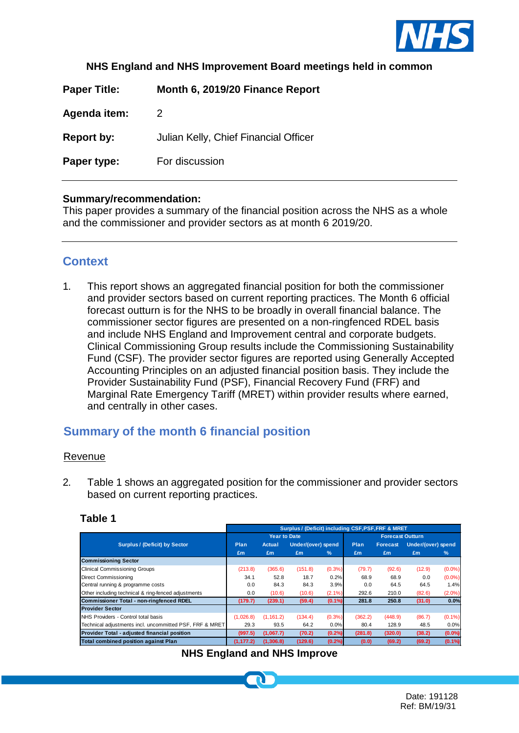

#### **NHS England and NHS Improvement Board meetings held in common**

**Paper Title: Month 6, 2019/20 Finance Report** 

**Agenda item:** 2

**Report by:** Julian Kelly, Chief Financial Officer

**Paper type:** For discussion

#### **Summary/recommendation:**

This paper provides a summary of the financial position across the NHS as a whole and the commissioner and provider sectors as at month 6 2019/20.

## **Context**

1. This report shows an aggregated financial position for both the commissioner and provider sectors based on current reporting practices. The Month 6 official forecast outturn is for the NHS to be broadly in overall financial balance. The commissioner sector figures are presented on a non-ringfenced RDEL basis and include NHS England and Improvement central and corporate budgets. Clinical Commissioning Group results include the Commissioning Sustainability Fund (CSF). The provider sector figures are reported using Generally Accepted Accounting Principles on an adjusted financial position basis. They include the Provider Sustainability Fund (PSF), Financial Recovery Fund (FRF) and Marginal Rate Emergency Tariff (MRET) within provider results where earned, and centrally in other cases.

# **Summary of the month 6 financial position**

#### Revenue

2. Table 1 shows an aggregated position for the commissioner and provider sectors based on current reporting practices.

#### **Table 1**

|                                                         | Surplus / (Deficit) including CSF, PSF, FRF & MRET |                     |                    |           |                         |                 |                    |               |  |
|---------------------------------------------------------|----------------------------------------------------|---------------------|--------------------|-----------|-------------------------|-----------------|--------------------|---------------|--|
|                                                         |                                                    | <b>Year to Date</b> |                    |           | <b>Forecast Outturn</b> |                 |                    |               |  |
| <b>Surplus / (Deficit) by Sector</b>                    | Plan                                               | Actual              | Under/(over) spend |           | <b>Plan</b>             | <b>Forecast</b> | Under/(over) spend |               |  |
|                                                         | £m                                                 | £m                  | £m                 | $\%$      | £m                      | £m              | £m                 | $\frac{9}{6}$ |  |
| <b>Commissioning Sector</b>                             |                                                    |                     |                    |           |                         |                 |                    |               |  |
| Clinical Commissioning Groups                           | (213.8)                                            | (365.6)             | (151.8)            | $(0.3\%)$ | (79.7)                  | (92.6)          | (12.9)             | $(0.0\%)$     |  |
| Direct Commissioning                                    | 34.1                                               | 52.8                | 18.7               | 0.2%      | 68.9                    | 68.9            | 0.0                | $(0.0\%)$     |  |
| Central running & programme costs                       | 0.0                                                | 84.3                | 84.3               | 3.9%      | 0.0                     | 64.5            | 64.5               | 1.4%          |  |
| Other including technical & ring-fenced adjustments     | 0.0                                                | (10.6)              | (10.6)             | $(2.1\%)$ | 292.6                   | 210.0           | (82.6)             | $(2.0\%)$     |  |
| Commissioner Total - non-ringfenced RDEL                | (179.7)                                            | (239.1)             | (59.4)             | (0.1%     | 281.8                   | 250.8           | (31.0)             | 0.0%          |  |
| <b>Provider Sector</b>                                  |                                                    |                     |                    |           |                         |                 |                    |               |  |
| NHS Providers - Control total basis                     | (1,026.8)                                          | (1, 161.2)          | (134.4)            | $(0.3\%)$ | (362.2)                 | (448.9)         | (86.7)             | $(0.1\%)$     |  |
| Technical adjustments incl. uncommitted PSF, FRF & MRET | 29.3                                               | 93.5                | 64.2               | 0.0%      | 80.4                    | 128.9           | 48.5               | 0.0%          |  |
| Provider Total - adjusted financial position            | (997.5)                                            | (1,067.7)           | (70.2)             | (0.2%)    | (281.8)                 | (320.0)         | (38.2)             | $(0.0\%)$     |  |
| <b>Total combined position against Plan</b>             | (1, 177.2)                                         | (1, 306.8)          | (129.6)            | (0.2%)    | (0.0)                   | (69.2)          | (69.2)             | $(0.1\%)$     |  |

#### **NHS England and NHS Improve**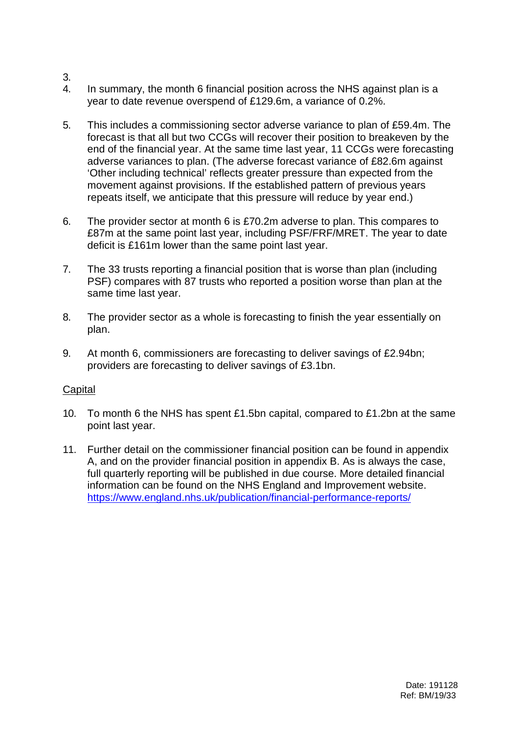- 3.
- 4. In summary, the month 6 financial position across the NHS against plan is a year to date revenue overspend of £129.6m, a variance of 0.2%.
- 5. This includes a commissioning sector adverse variance to plan of £59.4m. The forecast is that all but two CCGs will recover their position to breakeven by the end of the financial year. At the same time last year, 11 CCGs were forecasting adverse variances to plan. (The adverse forecast variance of £82.6m against 'Other including technical' reflects greater pressure than expected from the movement against provisions. If the established pattern of previous years repeats itself, we anticipate that this pressure will reduce by year end.)
- 6. The provider sector at month 6 is £70.2m adverse to plan. This compares to £87m at the same point last year, including PSF/FRF/MRET. The year to date deficit is £161m lower than the same point last year.
- 7. The 33 trusts reporting a financial position that is worse than plan (including PSF) compares with 87 trusts who reported a position worse than plan at the same time last year.
- 8. The provider sector as a whole is forecasting to finish the year essentially on plan.
- 9. At month 6, commissioners are forecasting to deliver savings of £2.94bn; providers are forecasting to deliver savings of £3.1bn.

## **Capital**

- 10. To month 6 the NHS has spent £1.5bn capital, compared to £1.2bn at the same point last year.
- 11. Further detail on the commissioner financial position can be found in appendix A, and on the provider financial position in appendix B. As is always the case, full quarterly reporting will be published in due course. More detailed financial information can be found on the NHS England and Improvement website. <https://www.england.nhs.uk/publication/financial-performance-reports/>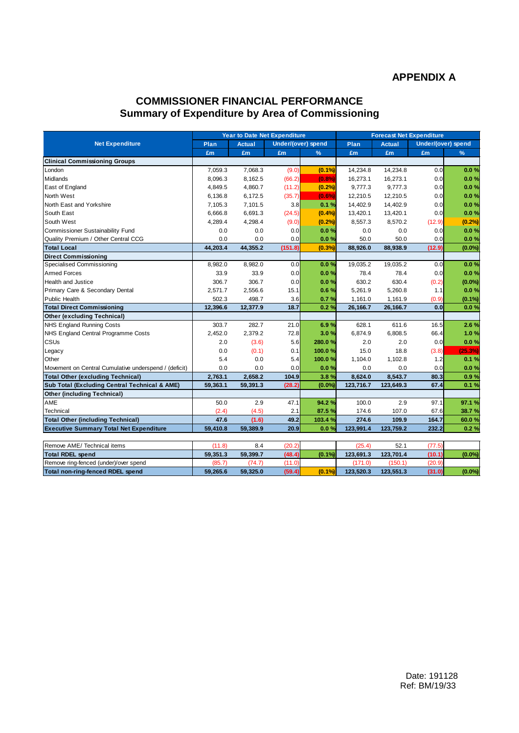### **APPENDIX A**

### **COMMISSIONER FINANCIAL PERFORMANCE Summary of Expenditure by Area of Commissioning**

|                                                       | <b>Year to Date Net Expenditure</b> |          |                    |               | <b>Forecast Net Expenditure</b> |           |                    |           |
|-------------------------------------------------------|-------------------------------------|----------|--------------------|---------------|---------------------------------|-----------|--------------------|-----------|
| <b>Net Expenditure</b>                                | Plan                                | Actual   | Under/(over) spend |               | Plan<br><b>Actual</b>           |           | Under/(over) spend |           |
|                                                       | £m                                  | £m       | £m                 | $\frac{9}{6}$ | £m                              | £m        | £m                 | $\%$      |
| <b>Clinical Commissioning Groups</b>                  |                                     |          |                    |               |                                 |           |                    |           |
| London                                                | 7,059.3                             | 7,068.3  | (9.0)              | (0.1%         | 14,234.8                        | 14,234.8  | 0.0                | 0.0%      |
| Midlands                                              | 8,096.3                             | 8,162.5  | (66.2)             | (0.8%         | 16,273.1                        | 16,273.1  | 0.0                | 0.0%      |
| East of England                                       | 4,849.5                             | 4,860.7  | (11.2)             | (0.2%         | 9,777.3                         | 9,777.3   | 0.0                | 0.0%      |
| North West                                            | 6,136.8                             | 6,172.5  | (35.7)             | (0.6%)        | 12,210.5                        | 12,210.5  | 0.0                | 0.0%      |
| North East and Yorkshire                              | 7,105.3                             | 7,101.5  | 3.8                | 0.1%          | 14,402.9                        | 14,402.9  | 0.0                | 0.0%      |
| South East                                            | 6,666.8                             | 6,691.3  | (24.5)             | (0.4%         | 13,420.1                        | 13,420.1  | 0.0                | 0.0%      |
| South West                                            | 4,289.4                             | 4,298.4  | (9.0)              | (0.2%)        | 8,557.3                         | 8,570.2   | (12.9)             | (0.2%)    |
| Commissioner Sustainability Fund                      | 0.0                                 | 0.0      | 0.0                | 0.0%          | 0.0                             | 0.0       | 0.0                | 0.0%      |
| Quality Premium / Other Central CCG                   | 0.0                                 | 0.0      | 0.0                | 0.0%          | 50.0                            | 50.0      | 0.0                | 0.0%      |
| <b>Total Local</b>                                    | 44,203.4                            | 44,355.2 | (151.8)            | (0.3%         | 88,926.0                        | 88,938.9  | (12.9)             | $(0.0\%)$ |
| <b>Direct Commissioning</b>                           |                                     |          |                    |               |                                 |           |                    |           |
| Specialised Commissioning                             | 8,982.0                             | 8,982.0  | 0.0                | 0.0%          | 19,035.2                        | 19,035.2  | 0.0                | 0.0%      |
| <b>Armed Forces</b>                                   | 33.9                                | 33.9     | 0.0                | 0.0%          | 78.4                            | 78.4      | 0.0                | 0.0%      |
| <b>Health and Justice</b>                             | 306.7                               | 306.7    | 0.0                | 0.0%          | 630.2                           | 630.4     | (0.2)              | $(0.0\%)$ |
| Primary Care & Secondary Dental                       | 2,571.7                             | 2,556.6  | 15.1               | 0.6%          | 5,261.9                         | 5,260.8   | 1.1                | 0.0%      |
| <b>Public Health</b>                                  | 502.3                               | 498.7    | 3.6                | 0.7%          | 1,161.0                         | 1,161.9   | (0.9)              | $(0.1\%)$ |
| <b>Total Direct Commissioning</b>                     | 12,396.6                            | 12,377.9 | 18.7               | 0.2%          | 26,166.7                        | 26,166.7  | 0.0                | 0.0%      |
| <b>Other (excluding Technical)</b>                    |                                     |          |                    |               |                                 |           |                    |           |
| <b>NHS England Running Costs</b>                      | 303.7                               | 282.7    | 21.0               | 6.9%          | 628.1                           | 611.6     | 16.5               | 2.6 %     |
| NHS England Central Programme Costs                   | 2,452.0                             | 2,379.2  | 72.8               | 3.0%          | 6,874.9                         | 6,808.5   | 66.4               | 1.0%      |
| CSUs                                                  | 2.0                                 | (3.6)    | 5.6                | 280.0%        | 2.0                             | 2.0       | 0.0                | 0.0%      |
| Legacy                                                | 0.0                                 | (0.1)    | 0.1                | 100.0%        | 15.0                            | 18.8      | (3.8)              | (25.3%)   |
| Other                                                 | 5.4                                 | 0.0      | 5.4                | 100.0%        | 1,104.0                         | 1,102.8   | 1.2                | 0.1%      |
| Movement on Central Cumulative underspend / (deficit) | 0.0                                 | 0.0      | 0.0                | 0.0%          | 0.0                             | 0.0       | 0.0                | 0.0%      |
| <b>Total Other (excluding Technical)</b>              | 2,763.1                             | 2,658.2  | 104.9              | 3.8%          | 8,624.0                         | 8,543.7   | 80.3               | 0.9%      |
| Sub Total (Excluding Central Technical & AME)         | 59,363.1                            | 59,391.3 | (28.2)             | $(0.0\%)$     | 123,716.7                       | 123,649.3 | 67.4               | 0.1%      |
| <b>Other (including Technical)</b>                    |                                     |          |                    |               |                                 |           |                    |           |
| AME                                                   | 50.0                                | 2.9      | 47.1               | 94.2%         | 100.0                           | 2.9       | 97.1               | 97.1%     |
| Technical                                             | (2.4)                               | (4.5)    | 2.1                | 87.5%         | 174.6                           | 107.0     | 67.6               | 38.7%     |
| <b>Total Other (including Technical)</b>              | 47.6                                | (1.6)    | 49.2               | 103.4 %       | 274.6                           | 109.9     | 164.7              | 60.0%     |
| <b>Executive Summary Total Net Expenditure</b>        | 59,410.8                            | 59,389.9 | 20.9               | 0.0%          | 123,991.4                       | 123,759.2 | 232.2              | 0.2%      |
|                                                       |                                     |          |                    |               |                                 |           |                    |           |
| Remove AME/ Technical items                           | (11.8)                              | 8.4      | (20.2)             |               | (25.4)                          | 52.1      | (77.5)             |           |
| <b>Total RDEL spend</b>                               | 59,351.3                            | 59,399.7 | (48.4)             | (0.1%         | 123,691.3                       | 123,701.4 | (10.1)             | $(0.0\%)$ |
| Remove ring-fenced (under)/over spend                 | (85.7)                              | (74.7)   | (11.0)             |               | (171.0)                         | (150.1)   | (20.9)             |           |
| <b>Total non-ring-fenced RDEL spend</b>               | 59.265.6                            | 59.325.0 | (59.4)             | $(0.1\%)$     | 123,520.3                       | 123,551.3 | (31.0)             | $(0.0\%)$ |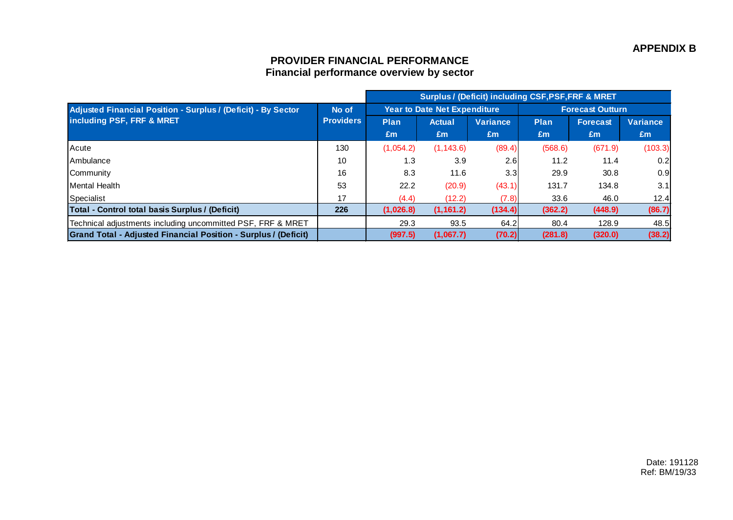## **PROVIDER FINANCIAL PERFORMANCE Financial performance overview by sector**

|                                                                                                   |                           | <b>Surplus / (Deficit) including CSF, PSF, FRF &amp; MRET</b> |                                     |                 |                         |          |                 |
|---------------------------------------------------------------------------------------------------|---------------------------|---------------------------------------------------------------|-------------------------------------|-----------------|-------------------------|----------|-----------------|
| <b>Adjusted Financial Position - Surplus / (Deficit) - By Sector</b><br>including PSF, FRF & MRET | No of<br><b>Providers</b> |                                                               | <b>Year to Date Net Expenditure</b> |                 | <b>Forecast Outturn</b> |          |                 |
|                                                                                                   |                           | <b>Plan</b>                                                   | <b>Actual</b>                       | <b>Variance</b> | Plan                    | Forecast | <b>Variance</b> |
|                                                                                                   |                           | Em                                                            | Em                                  | £m              | £m                      | Em       | Em              |
| <b>Acute</b>                                                                                      | 130                       | (1,054.2)                                                     | (1, 143.6)                          | (89.4)          | (568.6)                 | (671.9)  | (103.3)         |
| <b>IAmbulance</b>                                                                                 | 10                        | 1.3                                                           | 3.9                                 | 2.6             | 11.2                    | 11.4     | 0.2             |
| Community                                                                                         | 16                        | 8.3                                                           | 11.6                                | 3.3             | 29.9                    | 30.8     | 0.9             |
| Mental Health                                                                                     | 53                        | 22.2                                                          | (20.9)                              | (43.1)          | 131.7                   | 134.8    | 3.1             |
| Specialist                                                                                        | 17                        | (4.4)                                                         | (12.2)                              | (7.8)           | 33.6                    | 46.0     | 12.4            |
| Total - Control total basis Surplus / (Deficit)                                                   | 226                       | (1,026.8)                                                     | (1, 161.2)                          | (134.4)         | (362.2)                 | (448.9)  | (86.7)          |
| Technical adjustments including uncommitted PSF, FRF & MRET                                       |                           | 29.3                                                          | 93.5                                | 64.2            | 80.4                    | 128.9    | 48.5            |
| Grand Total - Adjusted Financial Position - Surplus / (Deficit)                                   |                           | (997.5)                                                       | (1,067.7)                           | (70.2)          | (281.8)                 | (320.0)  | (38.2)          |